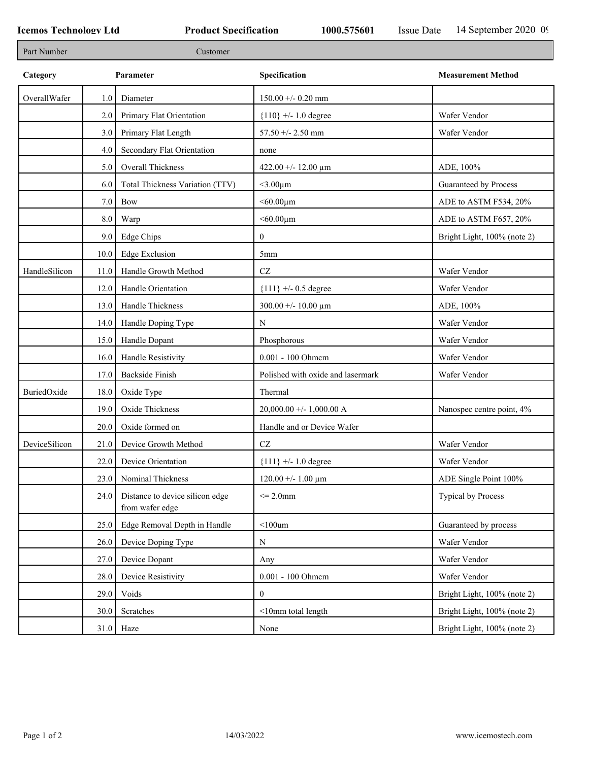| Part Number   | Customer |                                                    |                                   |                             |  |  |
|---------------|----------|----------------------------------------------------|-----------------------------------|-----------------------------|--|--|
| Category      |          | Parameter                                          | Specification                     | <b>Measurement Method</b>   |  |  |
| OverallWafer  | 1.0      | Diameter                                           | $150.00 + -0.20$ mm               |                             |  |  |
|               | 2.0      | Primary Flat Orientation                           | ${110}$ +/- 1.0 degree            | Wafer Vendor                |  |  |
|               | 3.0      | Primary Flat Length                                | 57.50 +/- 2.50 mm                 | Wafer Vendor                |  |  |
|               | 4.0      | Secondary Flat Orientation                         | none                              |                             |  |  |
|               | 5.0      | Overall Thickness                                  | 422.00 +/- 12.00 $\mu$ m          | ADE, 100%                   |  |  |
|               | 6.0      | Total Thickness Variation (TTV)                    | $<$ 3.00 $\mu$ m                  | Guaranteed by Process       |  |  |
|               | 7.0      | Bow                                                | $<$ 60.00 $\mu$ m                 | ADE to ASTM F534, 20%       |  |  |
|               | $8.0\,$  | Warp                                               | $<$ 60.00 $\mu$ m                 | ADE to ASTM F657, 20%       |  |  |
|               | 9.0      | Edge Chips                                         | $\mathbf{0}$                      | Bright Light, 100% (note 2) |  |  |
|               | 10.0     | <b>Edge Exclusion</b>                              | 5 <sub>mm</sub>                   |                             |  |  |
| HandleSilicon | 11.0     | Handle Growth Method                               | $\operatorname{CZ}$               | Wafer Vendor                |  |  |
|               | 12.0     | Handle Orientation                                 | ${111}$ +/- 0.5 degree            | Wafer Vendor                |  |  |
|               | 13.0     | Handle Thickness                                   | $300.00 + - 10.00 \mu m$          | ADE, 100%                   |  |  |
|               | 14.0     | Handle Doping Type                                 | ${\bf N}$                         | Wafer Vendor                |  |  |
|               | 15.0     | Handle Dopant                                      | Phosphorous                       | Wafer Vendor                |  |  |
|               | 16.0     | Handle Resistivity                                 | 0.001 - 100 Ohmem                 | Wafer Vendor                |  |  |
|               | 17.0     | <b>Backside Finish</b>                             | Polished with oxide and lasermark | Wafer Vendor                |  |  |
| BuriedOxide   | 18.0     | Oxide Type                                         | Thermal                           |                             |  |  |
|               | 19.0     | Oxide Thickness                                    | $20,000.00 +/- 1,000.00 A$        | Nanospec centre point, 4%   |  |  |
|               | 20.0     | Oxide formed on                                    | Handle and or Device Wafer        |                             |  |  |
| DeviceSilicon | 21.0     | Device Growth Method                               | $\operatorname{CZ}$               | Wafer Vendor                |  |  |
|               | 22.0     | Device Orientation                                 | ${111}$ +/- 1.0 degree            | Wafer Vendor                |  |  |
|               | 23.0     | Nominal Thickness                                  | $120.00 + - 1.00 \mu m$           | ADE Single Point 100%       |  |  |
|               | 24.0     | Distance to device silicon edge<br>from wafer edge | $\leq$ 2.0mm                      | Typical by Process          |  |  |
|               | 25.0     | Edge Removal Depth in Handle                       | $<$ 100um                         | Guaranteed by process       |  |  |
|               | 26.0     | Device Doping Type                                 | ${\bf N}$                         | Wafer Vendor                |  |  |
|               | 27.0     | Device Dopant                                      | Any                               | Wafer Vendor                |  |  |
|               | 28.0     | Device Resistivity                                 | 0.001 - 100 Ohmem                 | Wafer Vendor                |  |  |
|               | 29.0     | Voids                                              | $\mathbf{0}$                      | Bright Light, 100% (note 2) |  |  |
|               | 30.0     | Scratches                                          | <10mm total length                | Bright Light, 100% (note 2) |  |  |
|               |          | $31.0$ Haze                                        | None                              | Bright Light, 100% (note 2) |  |  |